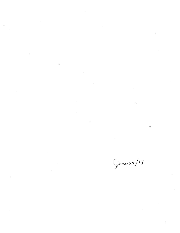$\label{eq:2.1} \frac{1}{\sqrt{2\pi}}\int_{0}^{\infty} \frac{1}{\sqrt{2\pi}}\left(\frac{1}{\sqrt{2\pi}}\right)^{2\alpha} \frac{1}{\sqrt{2\pi}}\int_{0}^{\infty} \frac{1}{\sqrt{2\pi}}\left(\frac{1}{\sqrt{2\pi}}\right)^{\alpha} \frac{1}{\sqrt{2\pi}}\frac{1}{\sqrt{2\pi}}\int_{0}^{\infty} \frac{1}{\sqrt{2\pi}}\frac{1}{\sqrt{2\pi}}\frac{1}{\sqrt{2\pi}}\frac{1}{\sqrt{2\pi}}\frac{1}{\sqrt{2\pi}}\frac{1}{\sqrt$ 

 $\label{eq:2.1} \frac{1}{\sqrt{2}}\sum_{i=1}^n\frac{1}{\sqrt{2}}\sum_{i=1}^n\frac{1}{\sqrt{2}}\sum_{i=1}^n\frac{1}{\sqrt{2}}\sum_{i=1}^n\frac{1}{\sqrt{2}}\sum_{i=1}^n\frac{1}{\sqrt{2}}\sum_{i=1}^n\frac{1}{\sqrt{2}}\sum_{i=1}^n\frac{1}{\sqrt{2}}\sum_{i=1}^n\frac{1}{\sqrt{2}}\sum_{i=1}^n\frac{1}{\sqrt{2}}\sum_{i=1}^n\frac{1}{\sqrt{2}}\sum_{i=1}^n\frac$ 

 $\label{eq:2.1} \mathcal{L}(\mathcal{L}^{\text{max}}_{\mathcal{L}}(\mathcal{L}^{\text{max}}_{\mathcal{L}}(\mathcal{L}^{\text{max}}_{\mathcal{L}}(\mathcal{L}^{\text{max}}_{\mathcal{L}^{\text{max}}_{\mathcal{L}}(\mathcal{L}^{\text{max}}_{\mathcal{L}^{\text{max}}_{\mathcal{L}^{\text{max}}_{\mathcal{L}^{\text{max}}_{\mathcal{L}^{\text{max}}_{\mathcal{L}^{\text{max}}_{\mathcal{L}^{\text{max}}_{\mathcal{L}^{\text{max}}_{\mathcal{L}^{\text{max}}$  $\label{eq:2.1} \frac{1}{\sqrt{2}}\left(\frac{1}{\sqrt{2}}\right)^{2} \left(\frac{1}{\sqrt{2}}\right)^{2} \left(\frac{1}{\sqrt{2}}\right)^{2} \left(\frac{1}{\sqrt{2}}\right)^{2} \left(\frac{1}{\sqrt{2}}\right)^{2} \left(\frac{1}{\sqrt{2}}\right)^{2} \left(\frac{1}{\sqrt{2}}\right)^{2} \left(\frac{1}{\sqrt{2}}\right)^{2} \left(\frac{1}{\sqrt{2}}\right)^{2} \left(\frac{1}{\sqrt{2}}\right)^{2} \left(\frac{1}{\sqrt{2}}\right)^{2} \left(\$ 

 $\mathcal{L}^{\text{max}}_{\text{max}}$ 

 $\label{eq:2.1} \frac{1}{\sqrt{2\pi}}\int_{\mathbb{R}^3}\frac{1}{\sqrt{2\pi}}\int_{\mathbb{R}^3}\frac{1}{\sqrt{2\pi}}\int_{\mathbb{R}^3}\frac{1}{\sqrt{2\pi}}\int_{\mathbb{R}^3}\frac{1}{\sqrt{2\pi}}\int_{\mathbb{R}^3}\frac{1}{\sqrt{2\pi}}\int_{\mathbb{R}^3}\frac{1}{\sqrt{2\pi}}\int_{\mathbb{R}^3}\frac{1}{\sqrt{2\pi}}\int_{\mathbb{R}^3}\frac{1}{\sqrt{2\pi}}\int_{\mathbb{R}^3}\frac{1$ 

 $\label{eq:2.1} \frac{1}{\sqrt{2}}\int_{\mathbb{R}^3}\frac{1}{\sqrt{2}}\left(\frac{1}{\sqrt{2}}\right)^2\frac{1}{\sqrt{2}}\left(\frac{1}{\sqrt{2}}\right)^2\frac{1}{\sqrt{2}}\left(\frac{1}{\sqrt{2}}\right)^2\frac{1}{\sqrt{2}}\left(\frac{1}{\sqrt{2}}\right)^2.$  $\mathcal{L}^{\text{max}}_{\text{max}}$  and  $\mathcal{L}^{\text{max}}_{\text{max}}$ 

June 29/88

 $\label{eq:2.1} \frac{1}{\sqrt{2}}\int_{\mathbb{R}^3} \frac{1}{\sqrt{2}}\left(\frac{1}{\sqrt{2}}\right)^2\left(\frac{1}{\sqrt{2}}\right)^2\left(\frac{1}{\sqrt{2}}\right)^2\left(\frac{1}{\sqrt{2}}\right)^2\left(\frac{1}{\sqrt{2}}\right)^2\left(\frac{1}{\sqrt{2}}\right)^2.$ 

 $\label{eq:2.1} \frac{1}{\sqrt{2}}\int_{\mathbb{R}^3}\frac{1}{\sqrt{2}}\left(\frac{1}{\sqrt{2}}\right)^2\frac{1}{\sqrt{2}}\left(\frac{1}{\sqrt{2}}\right)^2\frac{1}{\sqrt{2}}\left(\frac{1}{\sqrt{2}}\right)^2\frac{1}{\sqrt{2}}\left(\frac{1}{\sqrt{2}}\right)^2\frac{1}{\sqrt{2}}\left(\frac{1}{\sqrt{2}}\right)^2\frac{1}{\sqrt{2}}\frac{1}{\sqrt{2}}\frac{1}{\sqrt{2}}\frac{1}{\sqrt{2}}\frac{1}{\sqrt{2}}\frac{1}{\sqrt{2}}$ 

 $\label{eq:2.1} \frac{1}{\sqrt{2}}\sum_{i=1}^n\frac{1}{\sqrt{2}}\sum_{j=1}^n\frac{1}{\sqrt{2}}\sum_{j=1}^n\frac{1}{\sqrt{2}}\sum_{j=1}^n\frac{1}{\sqrt{2}}\sum_{j=1}^n\frac{1}{\sqrt{2}}\sum_{j=1}^n\frac{1}{\sqrt{2}}\sum_{j=1}^n\frac{1}{\sqrt{2}}\sum_{j=1}^n\frac{1}{\sqrt{2}}\sum_{j=1}^n\frac{1}{\sqrt{2}}\sum_{j=1}^n\frac{1}{\sqrt{2}}\sum_{j=1}^n\frac$ 

 $\label{eq:2.1} \frac{1}{\sqrt{2}}\int_{\mathbb{R}^3}\frac{1}{\sqrt{2}}\left(\frac{1}{\sqrt{2}}\right)^2\frac{1}{\sqrt{2}}\left(\frac{1}{\sqrt{2}}\right)^2\frac{1}{\sqrt{2}}\left(\frac{1}{\sqrt{2}}\right)^2\frac{1}{\sqrt{2}}\left(\frac{1}{\sqrt{2}}\right)^2.$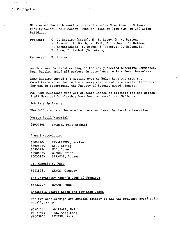- Minutes of the 98th meeting of the Executive Committee of Science Faculty Council held Monday, June 27, 1988 at 9:30 a.m. in 250 Allen Building.

Present: C. C. Bigelow (Chair), N. E. Losey, D. N. Burton, F. Arscott, T. Booth, W. Falk, A. Gerhard, N. Halden, K. Kocherlakota, T. Wiens, E. Worobec; J. McConnell, H. Rowe, P. Pachol (Secretary)

Regrets: N. Hunter

As this was the first meeing of the newly elected Executive Committee, Dean Bigelow asked all members in attendance to Introduce themselves.

Dean Bigelow turned the meeting over to Helen Rowe who drew the Committee's attention to the summary charts and data sheets distributed for use in determining the Faculty of Science award winners.

Ms. Rowe mentioned that all students listed as eligible for the Morton Stall Memorial Scholarship have been accepted into Medicine.

Scholarship Awards

The following are the award winners as chosen by Faculty Executive:

Morton Stall Memorial

#5900398 PRONYK, Paul Michael

Alumni Association

| HAWALESHKA, Adrian |
|--------------------|
| LIN, Liping        |
| WOO, Casey         |
| CRANE, Brian       |
| SPRAGGS, Shanon    |
|                    |

Dr. Maxwell S. Rady

#5918781 ARKOS, Gregory

The University Women's Club of Winnipeg

#5832797 ROMAN, Anke

Rosabelle Searle Leach and Benjamin Cohen

The two scholarships are awarded jointly to and the monetary award split equally among:

#5901256 ADHIKARI, Neill #6037961 LEE, Wing Sang  $\#6003846$  MENARD, Keith  $-2$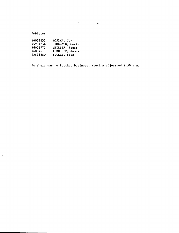Isbister

 $\ddot{\phantom{a}}$ 

 $\mathcal{L}_{\mathcal{A}}$ 

 $\hat{\textbf{t}}$ 

| #6032655 | KOJIMA, Jay     |
|----------|-----------------|
| #5901254 | MACBEATH, Gavin |
| #6003777 | PHILIPP, Roger  |
| #6004617 | TEREKOFF. James |
| #5831580 | TIWARI, Bela    |

As there was no further business, meeting adjourned 9:50 a.m.

 $\sim$ 

 $\sim$ 

 $\sim$   $\sim$